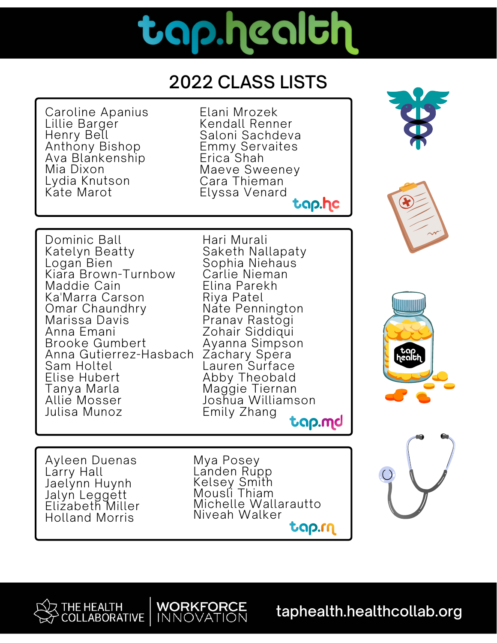# tap.health

#### 2022 CLASS LISTS

Caroline Apanius Lillie Barger Henry Bell Anthony Bishop Ava Blankenship Mia Dixon Lydia Knutson Kate Marot

Elani Mrozek Kendall Renner Saloni Sachdeva Emmy Servaites Erica<sup>'</sup>Shah Maeve Sweeney Cara Thieman Elyssa Venard tap.hc





Dominic Ball Katelyn Beatty Logan Bien Kiara Brown-Turnbow Maddie Cain Ka'Marra Carson Omar Chaundhry Marissa Davis Anna Emani Brooke Gumbert Anna Gutierrez-Hasbach Sam Holtel Elise Hubert Tanya Marla Allie Mosser Julisa Munoz

Hari Murali Saketh Nallapaty Sophia Niehaus Carlie Nieman Elina Parekh Riya Patel Nate Pennington Pranav Rastogi Zohair Siddiqui Ayanna Simpson Zachary Spera Lauren Surface Abby Theobald Maggie Tiernan Joshua Williamson Emily Zhang tap.md



Ayleen Duenas Larry Hall Jaelynn Huynh Jalyn Leggett Elizabeth Miller Holland Morris

Mya Posey Landen Rupp Kelsey Smith Mousli Thiam Michelle Wallarautto Niveah Walker tap.rn

**WORKFORCE** 

**INNOVATION** 



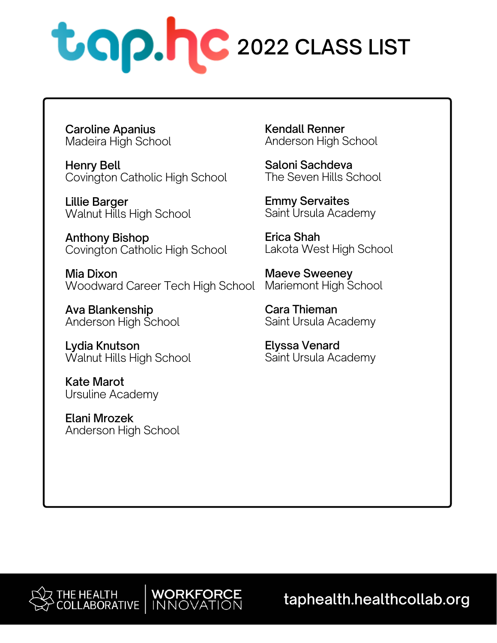

Caroline Apanius Madeira High School

Henry Bell Covington Catholic High School

Lillie Barger Walnut Hills High School

Anthony Bishop Covington Catholic High School

Mia Dixon Woodward Career Tech High School

**WORKFORCE** 

INNOVATION

Ava Blankenship Anderson High School

Lydia Knutson Walnut Hills High School

Kate Marot Ursuline Academy

Elani Mrozek Anderson High School Kendall Renner Anderson High School

Saloni Sachdeva The Seven Hills School

Emmy Servaites Saint Ursula Academy

Erica Shah Lakota West High School

Maeve Sweeney Mariemont High School

Cara Thieman Saint Ursula Academy

Elyssa Venard Saint Ursula Academy

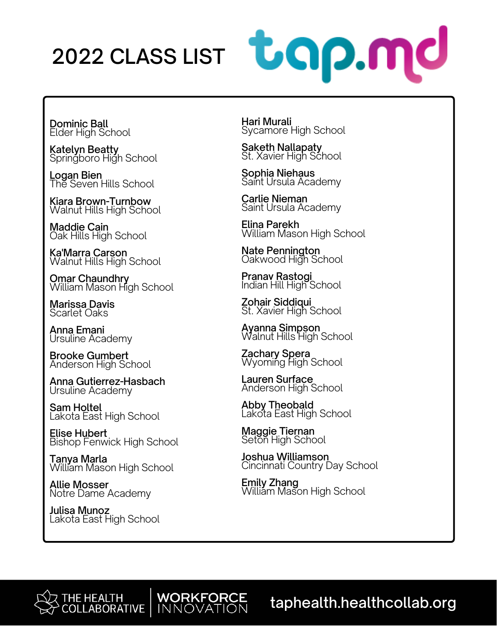### 2022 CLASS LIST



Dominic Ball Elder High School

Katelyn Beatty Springboro High School

<u>L</u>ogan Bien The Seven Hills School

Kiara Brown-Turnbow Walnut Hills High School

Maddie Cain Oak Hills High School

Ka'Marra Carson Walnut Hills High School

**Omar Chaundhry<br>William Mason High School** 

Marissa Davis Scarlet Oaks

Anna Emani Ursuline Academy

Brooke Gumbert Anderson High School

Anna Gutierrez-Hasbach Ursuline Academy

Sam Holtel Lakota East High School

Elise Hubert Bishop Fenwick High School

Tanya Marla William Mason High School

Allie Mosser Notre Dame Academy

Julisa Munoz Lakota East High School Hari Murali Sycamore High School

Saketh Nallapaty St. Xavier High School

Sophia Niehaus Saint Ursula Academy

Carlie Nieman Saint Ursula Academy

Elina Parekh William Mason High School

Nate Pennington Oakwood High School

Pranav Rastogi Indian Hill High School

Zohair Siddiqui St. Xavier High School

Ayanna Simpson Walnut Hills High School

Zachary Spera Wyoming High School

Lauren Surface Anderson High School

Abby T<u>h</u>eobald Lakota East High School

Maggie Tiernan Seton High School

**WORKFORCE**<br>INNOVATION

Joshua Williamson Cincinnati Country Day School

**Emily Zhang<br>William Mason High School**